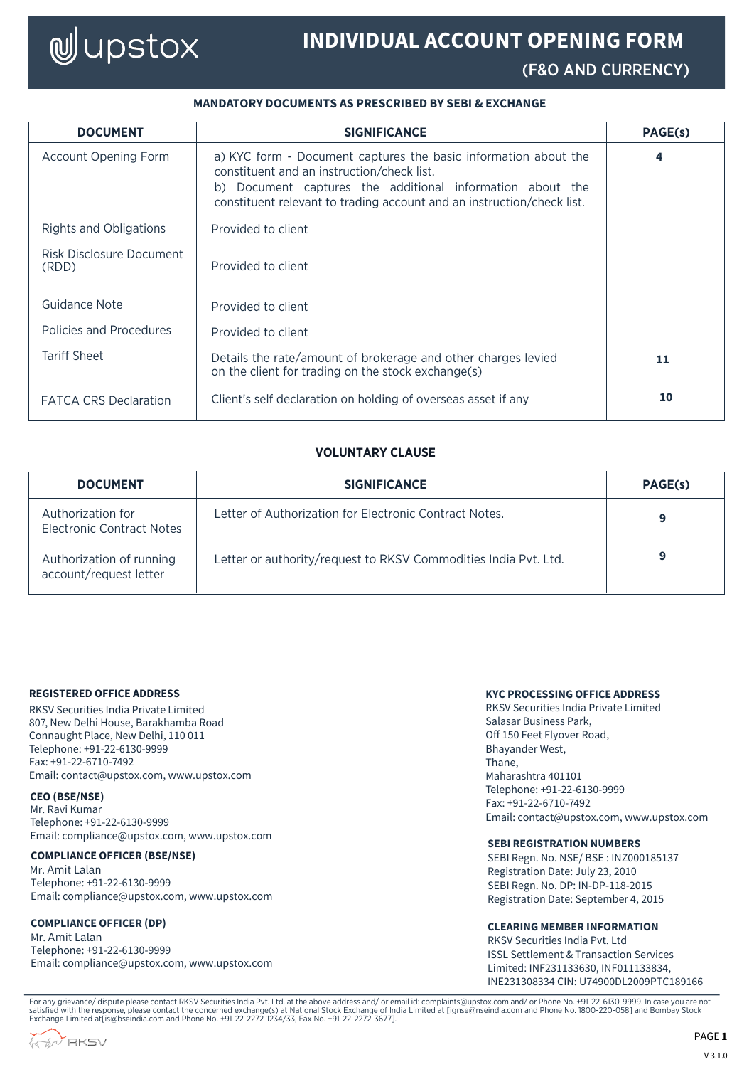# **W**upstox

## **INDIVIDUAL ACCOUNT OPENING FORM**

(F&O AND CURRENCY)

## **MANDATORY DOCUMENTS AS PRESCRIBED BY SEBI & EXCHANGE**

| <b>DOCUMENT</b>                   | <b>SIGNIFICANCE</b>                                                                                                                                                                                                                                  | PAGE(s) |
|-----------------------------------|------------------------------------------------------------------------------------------------------------------------------------------------------------------------------------------------------------------------------------------------------|---------|
| <b>Account Opening Form</b>       | a) KYC form - Document captures the basic information about the<br>constituent and an instruction/check list.<br>b) Document captures the additional information about the<br>constituent relevant to trading account and an instruction/check list. | 4       |
| Rights and Obligations            | Provided to client                                                                                                                                                                                                                                   |         |
| Risk Disclosure Document<br>(RDD) | Provided to client                                                                                                                                                                                                                                   |         |
| Guidance Note                     | Provided to client                                                                                                                                                                                                                                   |         |
| Policies and Procedures           | Provided to client                                                                                                                                                                                                                                   |         |
| <b>Tariff Sheet</b>               | Details the rate/amount of brokerage and other charges levied<br>on the client for trading on the stock exchange(s)                                                                                                                                  | 11      |
| <b>FATCA CRS Declaration</b>      | Client's self declaration on holding of overseas asset if any                                                                                                                                                                                        | 10      |

## **VOLUNTARY CLAUSE**

| <b>DOCUMENT</b>                                       | <b>SIGNIFICANCE</b>                                             | PAGE(s) |
|-------------------------------------------------------|-----------------------------------------------------------------|---------|
| Authorization for<br><b>Electronic Contract Notes</b> | Letter of Authorization for Electronic Contract Notes.          | 9       |
| Authorization of running<br>account/request letter    | Letter or authority/request to RKSV Commodities India Pvt. Ltd. | 9       |

#### **REGISTERED OFFICE ADDRESS**

RKSV Securities India Private Limited 807, New Delhi House, Barakhamba Road Connaught Place, New Delhi, 110 011 Telephone: +91-22-6130-9999 Fax: +91-22-6710-7492 Email: contact@upstox.com, www.upstox.com

#### **CEO (BSE/NSE)**

Mr. Ravi Kumar Telephone: +91-22-6130-9999 Email: compliance@upstox.com, www.upstox.com

#### **COMPLIANCE OFFICER (BSE/NSE)**

Mr. Amit Lalan Telephone: +91-22-6130-9999 Email: compliance@upstox.com, www.upstox.com

#### **COMPLIANCE OFFICER (DP)**

Mr. Amit Lalan Telephone: +91-22-6130-9999 Email: compliance@upstox.com, www.upstox.com

## **KYC PROCESSING OFFICE ADDRESS**

RKSV Securities India Private Limited Salasar Business Park, Off 150 Feet Flyover Road, Bhayander West, Thane, Maharashtra 401101 Telephone: +91-22-6130-9999 Fax: +91-22-6710-7492 Email: contact@upstox.com, www.upstox.com

#### **SEBI REGISTRATION NUMBERS**

SEBI Regn. No. NSE/ BSE : INZ000185137 Registration Date: July 23, 2010 SEBI Regn. No. DP: IN-DP-118-2015 Registration Date: September 4, 2015

#### **CLEARING MEMBER INFORMATION**

RKSV Securities India Pvt. Ltd ISSL Settlement & Transaction Services Limited: INF231133630, INF011133834, INE231308334 CIN: U74900DL2009PTC189166

For any grievance/ dispute please contact RKSV Securities India Pvt. Ltd. at the above address and/ or email id: complaints@upstox.com and/ or Phone No. +91-22-6130-9999. In case you are not<br>satisfied with the response, pl

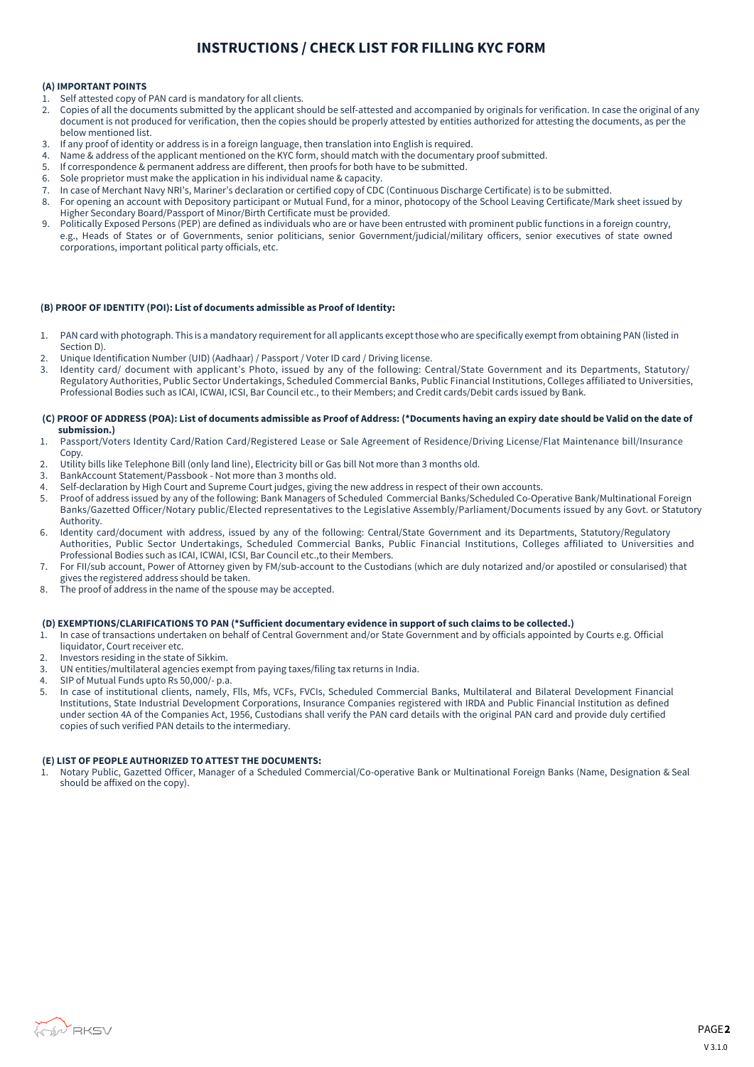## **INSTRUCTIONS / CHECK LIST FOR FILLING KYC FORM**

#### **(A) IMPORTANT POINTS**

- 1. Self attested copy of PAN card is mandatory for all clients.
- 2. Copies of all the documents submitted by the applicant should be self-attested and accompanied by originals for verification. In case the original of any document is not produced for verification, then the copies should be properly attested by entities authorized for attesting the documents, as per the below mentioned list.
- 3. If any proof of identity or address is in a foreign language, then translation into English is required.
- 4. Name & address of the applicant mentioned on the KYC form, should match with the documentary proof submitted.<br>5. If correspondence & permanent address are different, then proofs for both have to be submitted.
- 5. If correspondence & permanent address are different, then proofs for both have to be submitted.<br>6. Sole proprietor must make the application in his individual name & canacity.
- 6. Sole proprietor must make the application in his individual name & capacity.
- 7. In case of Merchant Navy NRI's, Mariner's declaration or certified copy of CDC (Continuous Discharge Certificate) is to be submitted.
- 8. For opening an account with Depository participant or Mutual Fund, for a minor, photocopy of the School Leaving Certificate/Mark sheet issued by Higher Secondary Board/Passport of Minor/Birth Certificate must be provided.
- 9. Politically Exposed Persons (PEP) are defined as individuals who are or have been entrusted with prominent public functions in a foreign country, e.g., Heads of States or of Governments, senior politicians, senior Government/judicial/military officers, senior executives of state owned corporations, important political party officials, etc.

#### **(B) PROOF OF IDENTITY (POI): List of documents admissible as Proof of Identity:**

- 1. PAN card with photograph. This is a mandatory requirement for all applicants except those who are specifically exempt from obtaining PAN (listed in Section D).
- 2. Unique Identification Number (UID) (Aadhaar) / Passport / Voter ID card / Driving license.
- 3. Identity card/ document with applicant's Photo, issued by any of the following: Central/State Government and its Departments, Statutory/ Regulatory Authorities, Public Sector Undertakings, Scheduled Commercial Banks, Public Financial Institutions, Colleges affiliated to Universities, Professional Bodies such as ICAI, ICWAI, ICSI, Bar Council etc., to their Members; and Credit cards/Debit cards issued by Bank.

#### **(C) PROOF OF ADDRESS (POA): List of documents admissible as Proof of Address: (\*Documents having an expiry date should be Valid on the date of submission.)**

- 1. Passport/Voters Identity Card/Ration Card/Registered Lease or Sale Agreement of Residence/Driving License/Flat Maintenance bill/Insurance Copy.
- 2. Utility bills like Telephone Bill (only land line), Electricity bill or Gas bill Not more than 3 months old.
- 3. BankAccount Statement/Passbook Not more than 3 months old.
- 4. Self-declaration by High Court and Supreme Court judges, giving the new address in respect of their own accounts.<br>5. Proof of address issued by any of the following: Bank Managers of Scheduled, Commercial Banks/Schedule
- 5. Proof of address issued by any of the following: Bank Managers of Scheduled Commercial Banks/Scheduled Co-Operative Bank/Multinational Foreign Banks/Gazetted Officer/Notary public/Elected representatives to the Legislative Assembly/Parliament/Documents issued by any Govt. or Statutory Authority.
- 6. Identity card/document with address, issued by any of the following: Central/State Government and its Departments, Statutory/Regulatory Authorities, Public Sector Undertakings, Scheduled Commercial Banks, Public Financial Institutions, Colleges affiliated to Universities and Professional Bodies such as ICAI, ICWAI, ICSI, Bar Council etc.,to their Members.
- 7. For FII/sub account, Power of Attorney given by FM/sub-account to the Custodians (which are duly notarized and/or apostiled or consularised) that gives the registered address should be taken.
- 8. The proof of address in the name of the spouse may be accepted.

#### **(D) EXEMPTIONS/CLARIFICATIONS TO PAN (\*Sufficient documentary evidence in support of such claims to be collected.)**

- 1. In case of transactions undertaken on behalf of Central Government and/or State Government and by officials appointed by Courts e.g. Official liquidator, Court receiver etc.
- 2. Investors residing in the state of Sikkim.
- 3. UN entities/multilateral agencies exempt from paying taxes/filing tax returns in India.
- 4. SIP of Mutual Funds upto Rs 50,000/- p.a.
- 5. In case of institutional clients, namely, Flls, Mfs, VCFs, FVCIs, Scheduled Commercial Banks, Multilateral and Bilateral Development Financial Institutions, State Industrial Development Corporations, Insurance Companies registered with IRDA and Public Financial Institution as defined under section 4A of the Companies Act, 1956, Custodians shall verify the PAN card details with the original PAN card and provide duly certified copies of such verified PAN details to the intermediary.

#### **(E) LIST OF PEOPLE AUTHORIZED TO ATTEST THE DOCUMENTS:**

1. Notary Public, Gazetted Officer, Manager of a Scheduled Commercial/Co-operative Bank or Multinational Foreign Banks (Name, Designation & Seal should be affixed on the copy).

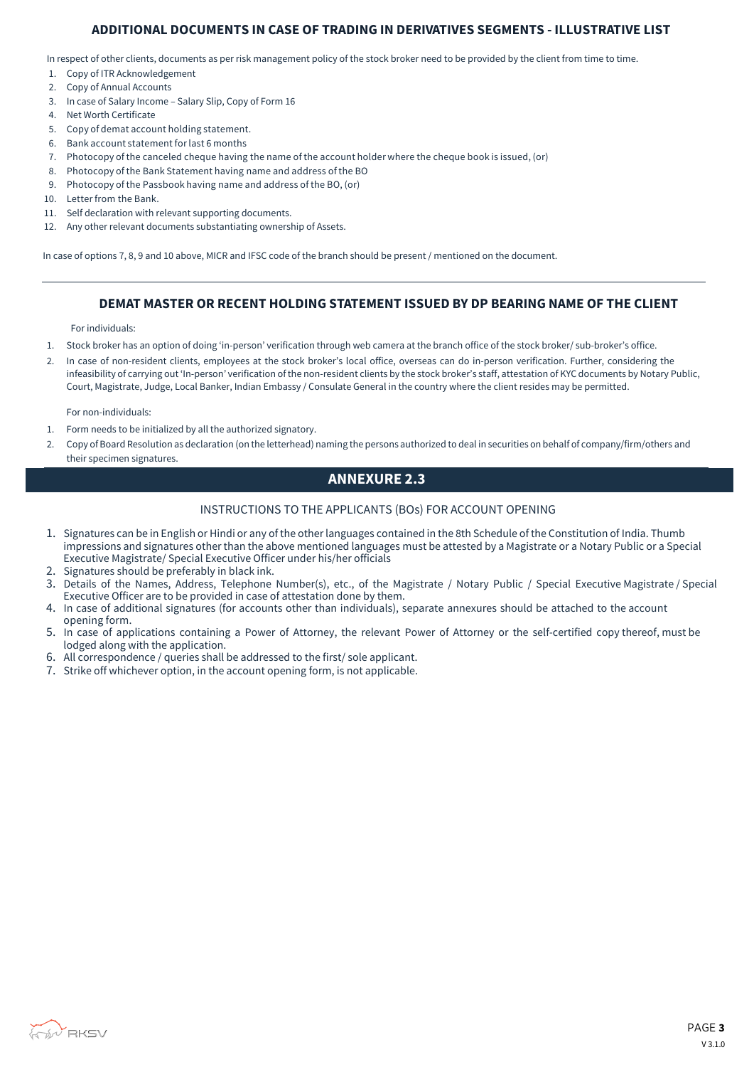## **ADDITIONAL DOCUMENTS IN CASE OF TRADING IN DERIVATIVES SEGMENTS - ILLUSTRATIVE LIST**

In respect of other clients, documents as per risk management policy of the stock broker need to be provided by the client from time to time.

- 1. Copy of ITR Acknowledgement
- 2. Copy of Annual Accounts
- 3. In case of Salary Income Salary Slip, Copy of Form 16
- 4. Net Worth Certificate
- 5. Copy of demat account holding statement.
- 6. Bank account statement forlast 6 months
- 7. Photocopy of the canceled cheque having the name of the account holder where the cheque book is issued, (or)
- 8. Photocopy of the Bank Statement having name and address of the BO
- 9. Photocopy of the Passbook having name and address of the BO, (or)
- 10. Letter from the Bank.
- 11. Self declaration with relevant supporting documents.
- 12. Any other relevant documents substantiating ownership of Assets.

In case of options 7, 8, 9 and 10 above, MICR and IFSC code of the branch should be present / mentioned on the document.

## **DEMAT MASTER OR RECENT HOLDING STATEMENT ISSUED BY DP BEARING NAME OF THE CLIENT**

For individuals:

- 1. Stock broker has an option of doing 'in-person' verification through web camera at the branch office of the stock broker/ sub-broker's office.
- 2. In case of non-resident clients, employees at the stock broker's local office, overseas can do in-person verification. Further, considering the infeasibility of carrying out 'In-person' verification of the non-resident clients by the stock broker's staff, attestation of KYC documents by Notary Public, Court, Magistrate, Judge, Local Banker, Indian Embassy / Consulate General in the country where the client resides may be permitted.

For non-individuals:

- 1. Form needs to be initialized by all the authorized signatory.
- 2. Copy of Board Resolution as declaration (on the letterhead) naming the persons authorized to deal in securities on behalf of company/firm/others and their specimen signatures.

## **ANNEXURE 2.3**

#### INSTRUCTIONS TO THE APPLICANTS (BOs) FOR ACCOUNT OPENING

- 1. Signatures can be in English or Hindi or any of the other languages contained in the 8th Schedule of the Constitution of India. Thumb impressions and signatures other than the above mentioned languages must be attested by a Magistrate or a Notary Public or a Special Executive Magistrate/ Special Executive Officer under his/her officials
- 2. Signatures should be preferably in black ink.
- 3. Details of the Names, Address, Telephone Number(s), etc., of the Magistrate / Notary Public / Special Executive Magistrate / Special Executive Officer are to be provided in case of attestation done by them.
- 4. In case of additional signatures (for accounts other than individuals), separate annexures should be attached to the account opening form.
- 5. In case of applications containing a Power of Attorney, the relevant Power of Attorney or the self-certified copy thereof, must be lodged along with the application.
- 6. All correspondence / queries shall be addressed to the first/ sole applicant.
- 7. Strike off whichever option, in the account opening form, is not applicable.

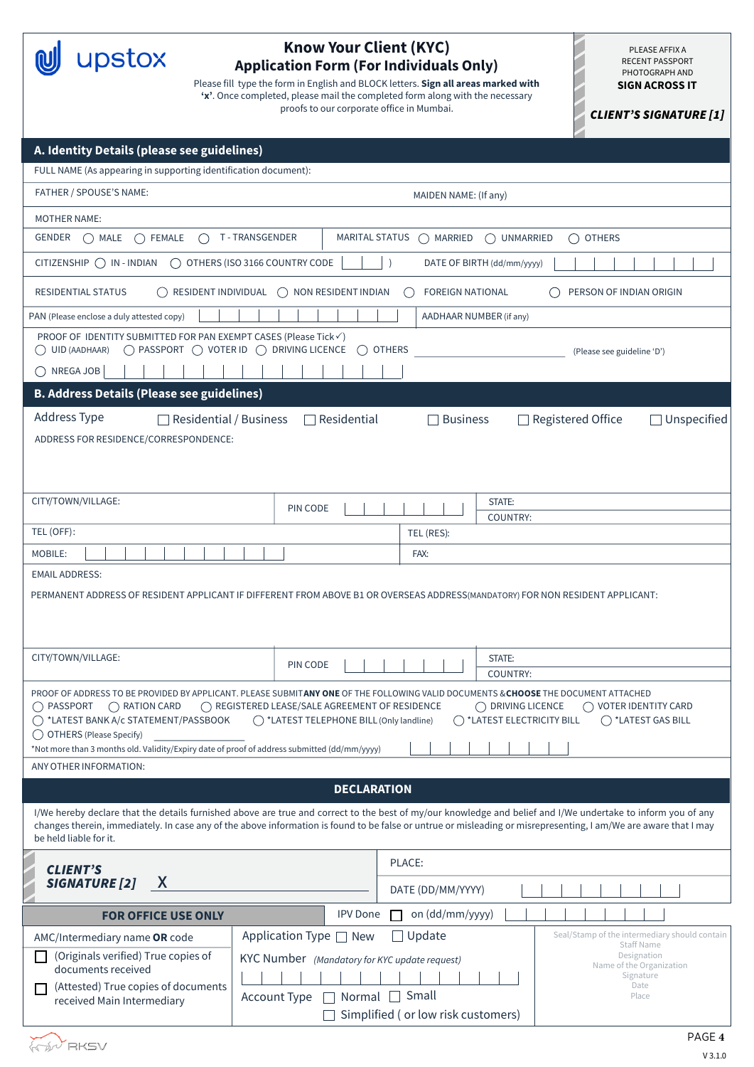**W** upstox

## **Know Your Client (KYC) Application Form (For Individuals Only)**

Please fill type the form in English and BLOCK letters. **Sign all areas marked with 'x'**. Once completed, please mail the completed form along with the necessary proofs to our corporate office in Mumbai.

PLEASE AFFIX A RECENT PASSPORT PHOTOGRAPH AND **SIGN ACROSS IT**

CLIENT'S SIGNATURE [1]

| A. Identity Details (please see guidelines)                                                                                                                                                                                   |                                               |                                    |                                                                                                                                                                  |
|-------------------------------------------------------------------------------------------------------------------------------------------------------------------------------------------------------------------------------|-----------------------------------------------|------------------------------------|------------------------------------------------------------------------------------------------------------------------------------------------------------------|
| FULL NAME (As appearing in supporting identification document):                                                                                                                                                               |                                               |                                    |                                                                                                                                                                  |
| FATHER / SPOUSE'S NAME:                                                                                                                                                                                                       |                                               | MAIDEN NAME: (If any)              |                                                                                                                                                                  |
| <b>MOTHER NAME:</b>                                                                                                                                                                                                           |                                               |                                    |                                                                                                                                                                  |
| T-TRANSGENDER<br>GENDER<br>() MALE () FEMALE<br>$($ )                                                                                                                                                                         | MARITAL STATUS                                | () MARRIED                         | () UNMARRIED<br>() OTHERS                                                                                                                                        |
| $CITIZENSHIP$ $\bigcap$ $IN$ - $INDIAN$<br>O OTHERS (ISO 3166 COUNTRY CODE                                                                                                                                                    |                                               |                                    | DATE OF BIRTH (dd/mm/yyyy)                                                                                                                                       |
| <b>RESIDENTIAL STATUS</b>                                                                                                                                                                                                     | RESIDENT INDIVIDUAL ( ) NON RESIDENT INDIAN   | <b>FOREIGN NATIONAL</b>            | PERSON OF INDIAN ORIGIN                                                                                                                                          |
| PAN (Please enclose a duly attested copy)                                                                                                                                                                                     |                                               | AADHAAR NUMBER (if any)            |                                                                                                                                                                  |
| PROOF OF IDENTITY SUBMITTED FOR PAN EXEMPT CASES (Please Tick√)                                                                                                                                                               | ( )                                           | <b>OTHERS</b>                      | (Please see guideline 'D')                                                                                                                                       |
| $\bigcap$ NREGA JOB                                                                                                                                                                                                           |                                               |                                    |                                                                                                                                                                  |
| <b>B. Address Details (Please see guidelines)</b>                                                                                                                                                                             |                                               |                                    |                                                                                                                                                                  |
| Address Type<br>Residential / Business                                                                                                                                                                                        | Residential                                   | <b>Business</b>                    | □ Registered Office<br>Unspecified                                                                                                                               |
| ADDRESS FOR RESIDENCE/CORRESPONDENCE:                                                                                                                                                                                         |                                               |                                    |                                                                                                                                                                  |
|                                                                                                                                                                                                                               |                                               |                                    |                                                                                                                                                                  |
|                                                                                                                                                                                                                               |                                               |                                    |                                                                                                                                                                  |
| CITY/TOWN/VILLAGE:                                                                                                                                                                                                            | PIN CODE                                      |                                    | STATE:                                                                                                                                                           |
| TEL (OFF):                                                                                                                                                                                                                    |                                               | TEL (RES):                         | COUNTRY:                                                                                                                                                         |
| MOBILE:                                                                                                                                                                                                                       |                                               | FAX:                               |                                                                                                                                                                  |
| <b>EMAIL ADDRESS:</b>                                                                                                                                                                                                         |                                               |                                    |                                                                                                                                                                  |
| PERMANENT ADDRESS OF RESIDENT APPLICANT IF DIFFERENT FROM ABOVE B1 OR OVERSEAS ADDRESS(MANDATORY) FOR NON RESIDENT APPLICANT:                                                                                                 |                                               |                                    |                                                                                                                                                                  |
|                                                                                                                                                                                                                               |                                               |                                    |                                                                                                                                                                  |
|                                                                                                                                                                                                                               |                                               |                                    |                                                                                                                                                                  |
| CITY/TOWN/VILLAGE:                                                                                                                                                                                                            | PIN CODE                                      |                                    | STATE:                                                                                                                                                           |
|                                                                                                                                                                                                                               |                                               |                                    | COUNTRY:                                                                                                                                                         |
| PROOF OF ADDRESS TO BE PROVIDED BY APPLICANT. PLEASE SUBMITANY ONE OF THE FOLLOWING VALID DOCUMENTS & CHOOSE THE DOCUMENT ATTACHED<br>PASSPORT $\bigcirc$ RATION CARD $\bigcirc$ REGISTERED LEASE/SALE AGREEMENT OF RESIDENCE |                                               |                                    | ◯ DRIVING LICENCE │ ◯ VOTER IDENTITY CARD                                                                                                                        |
| ◯ *LATEST BANK A/c STATEMENT/PASSBOOK                                                                                                                                                                                         | ◯ *LATEST TELEPHONE BILL (Only landline)      |                                    | ◯ *LATEST ELECTRICITY BILL<br>$\bigcirc$ *LATEST GAS BILL                                                                                                        |
| ◯ OTHERS (Please Specify)<br>*Not more than 3 months old. Validity/Expiry date of proof of address submitted (dd/mm/yyyy)                                                                                                     |                                               |                                    |                                                                                                                                                                  |
| ANY OTHER INFORMATION:                                                                                                                                                                                                        |                                               |                                    |                                                                                                                                                                  |
|                                                                                                                                                                                                                               | <b>DECLARATION</b>                            |                                    |                                                                                                                                                                  |
|                                                                                                                                                                                                                               |                                               |                                    | I/We hereby declare that the details furnished above are true and correct to the best of my/our knowledge and belief and I/We undertake to inform you of any     |
| be held liable for it.                                                                                                                                                                                                        |                                               |                                    | changes therein, immediately. In case any of the above information is found to be false or untrue or misleading or misrepresenting, I am/We are aware that I may |
| <b>CLIENT'S</b>                                                                                                                                                                                                               |                                               | PLACE:                             |                                                                                                                                                                  |
| X<br><b>SIGNATURE [2]</b>                                                                                                                                                                                                     |                                               | DATE (DD/MM/YYYY)                  |                                                                                                                                                                  |
| <b>FOR OFFICE USE ONLY</b>                                                                                                                                                                                                    | <b>IPV</b> Done                               | on (dd/mm/yyyy)<br><b>Tarat</b>    |                                                                                                                                                                  |
| AMC/Intermediary name OR code                                                                                                                                                                                                 | Application Type $\Box$ New                   | $\Box$ Update                      | Seal/Stamp of the intermediary should contain                                                                                                                    |
| (Originals verified) True copies of                                                                                                                                                                                           | KYC Number (Mandatory for KYC update request) |                                    | <b>Staff Name</b><br>Designation                                                                                                                                 |
| documents received                                                                                                                                                                                                            |                                               |                                    | Name of the Organization<br>Signature<br>Date                                                                                                                    |
| (Attested) True copies of documents<br>received Main Intermediary                                                                                                                                                             | Account Type<br>$\perp$                       | Normal □ Small                     | Place                                                                                                                                                            |
|                                                                                                                                                                                                                               |                                               | Simplified (or low risk customers) |                                                                                                                                                                  |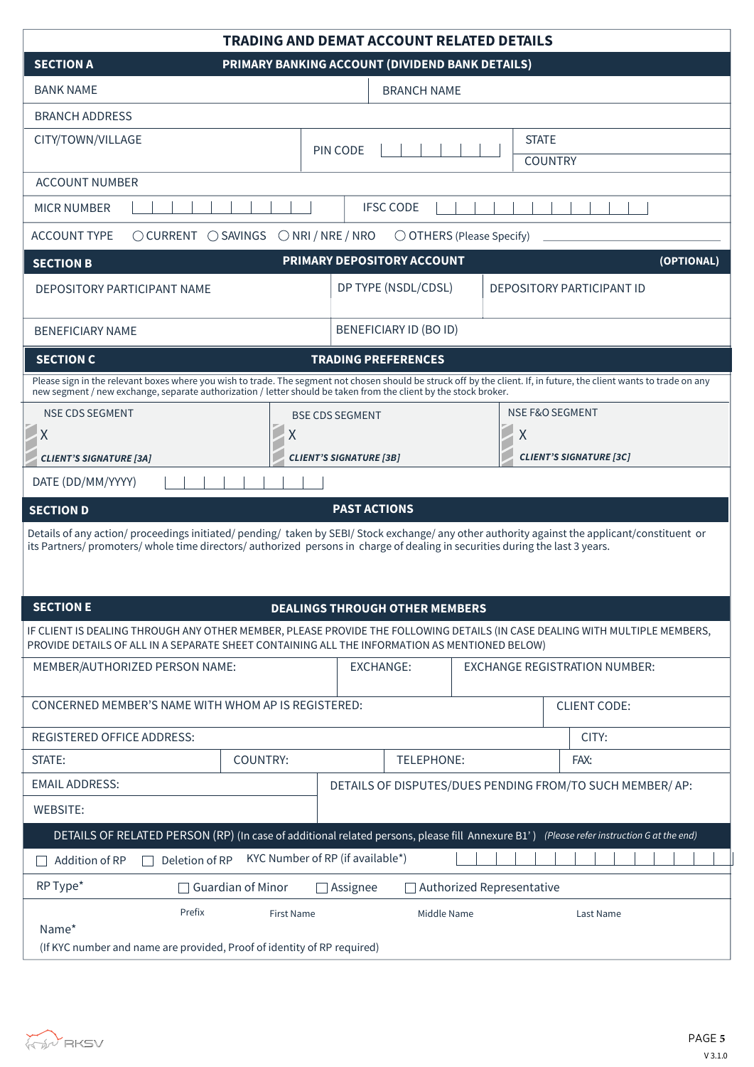|                                                                                                                               | <b>TRADING AND DEMAT ACCOUNT RELATED DETAILS</b>                                                                                                                                                                               |
|-------------------------------------------------------------------------------------------------------------------------------|--------------------------------------------------------------------------------------------------------------------------------------------------------------------------------------------------------------------------------|
| <b>SECTION A</b>                                                                                                              | PRIMARY BANKING ACCOUNT (DIVIDEND BANK DETAILS)                                                                                                                                                                                |
| <b>BANK NAME</b>                                                                                                              | <b>BRANCH NAME</b>                                                                                                                                                                                                             |
| <b>BRANCH ADDRESS</b>                                                                                                         |                                                                                                                                                                                                                                |
| CITY/TOWN/VILLAGE                                                                                                             | <b>STATE</b><br>PIN CODE<br><b>COUNTRY</b>                                                                                                                                                                                     |
| <b>ACCOUNT NUMBER</b>                                                                                                         |                                                                                                                                                                                                                                |
| <b>MICR NUMBER</b>                                                                                                            | <b>IFSC CODE</b>                                                                                                                                                                                                               |
| <b>ACCOUNT TYPE</b><br>$\bigcirc$ CURRENT $\bigcirc$ SAVINGS                                                                  | $\bigcirc$ NRI / NRE / NRO<br>$\bigcirc$ OTHERS (Please Specify)                                                                                                                                                               |
| <b>SECTION B</b>                                                                                                              | PRIMARY DEPOSITORY ACCOUNT<br>(OPTIONAL)                                                                                                                                                                                       |
| DEPOSITORY PARTICIPANT NAME                                                                                                   | DP TYPE (NSDL/CDSL)<br><b>DEPOSITORY PARTICIPANT ID</b>                                                                                                                                                                        |
| <b>BENEFICIARY NAME</b>                                                                                                       | <b>BENEFICIARY ID (BO ID)</b>                                                                                                                                                                                                  |
| <b>SECTION C</b>                                                                                                              | <b>TRADING PREFERENCES</b>                                                                                                                                                                                                     |
|                                                                                                                               | Please sign in the relevant boxes where you wish to trade. The segment not chosen should be struck off by the client. If, in future, the client wants to trade on any new segment / new exchange, separate authorization / let |
| <b>NSE CDS SEGMENT</b>                                                                                                        | <b>NSE F&amp;O SEGMENT</b><br><b>BSE CDS SEGMENT</b>                                                                                                                                                                           |
| $\pmb{\mathsf{X}}$<br>Χ                                                                                                       | $\sf X$                                                                                                                                                                                                                        |
| <b>CLIENT'S SIGNATURE [3A]</b>                                                                                                | <b>CLIENT'S SIGNATURE [3C]</b><br><b>CLIENT'S SIGNATURE [3B]</b>                                                                                                                                                               |
| DATE (DD/MM/YYYY)                                                                                                             |                                                                                                                                                                                                                                |
| <b>SECTION D</b>                                                                                                              | <b>PAST ACTIONS</b>                                                                                                                                                                                                            |
| its Partners/ promoters/ whole time directors/ authorized persons in charge of dealing in securities during the last 3 years. | Details of any action/proceedings initiated/pending/taken by SEBI/Stock exchange/any other authority against the applicant/constituent or                                                                                      |
| <b>SECTION E</b>                                                                                                              | <b>DEALINGS THROUGH OTHER MEMBERS</b>                                                                                                                                                                                          |
| PROVIDE DETAILS OF ALL IN A SEPARATE SHEET CONTAINING ALL THE INFORMATION AS MENTIONED BELOW)                                 | IF CLIENT IS DEALING THROUGH ANY OTHER MEMBER, PLEASE PROVIDE THE FOLLOWING DETAILS (IN CASE DEALING WITH MULTIPLE MEMBERS,                                                                                                    |
| MEMBER/AUTHORIZED PERSON NAME:                                                                                                | <b>EXCHANGE:</b><br><b>EXCHANGE REGISTRATION NUMBER:</b>                                                                                                                                                                       |
| CONCERNED MEMBER'S NAME WITH WHOM AP IS REGISTERED:                                                                           | <b>CLIENT CODE:</b>                                                                                                                                                                                                            |
| <b>REGISTERED OFFICE ADDRESS:</b>                                                                                             | CITY:                                                                                                                                                                                                                          |
| COUNTRY:<br>STATE:                                                                                                            | TELEPHONE:<br>FAX:                                                                                                                                                                                                             |
| <b>EMAIL ADDRESS:</b>                                                                                                         | DETAILS OF DISPUTES/DUES PENDING FROM/TO SUCH MEMBER/ AP:                                                                                                                                                                      |
| <b>WEBSITE:</b>                                                                                                               |                                                                                                                                                                                                                                |
|                                                                                                                               | DETAILS OF RELATED PERSON (RP) (In case of additional related persons, please fill Annexure B1') (Please refer instruction G at the end)                                                                                       |
| Addition of RP<br>Deletion of RP                                                                                              | KYC Number of RP (if available*)                                                                                                                                                                                               |
| RP Type*<br>$\Box$ Guardian of Minor                                                                                          | <b>Authorized Representative</b><br>$\Box$ Assignee                                                                                                                                                                            |
| Prefix<br>First Name<br>Name*<br>(If KYC number and name are provided, Proof of identity of RP required)                      | Middle Name<br>Last Name                                                                                                                                                                                                       |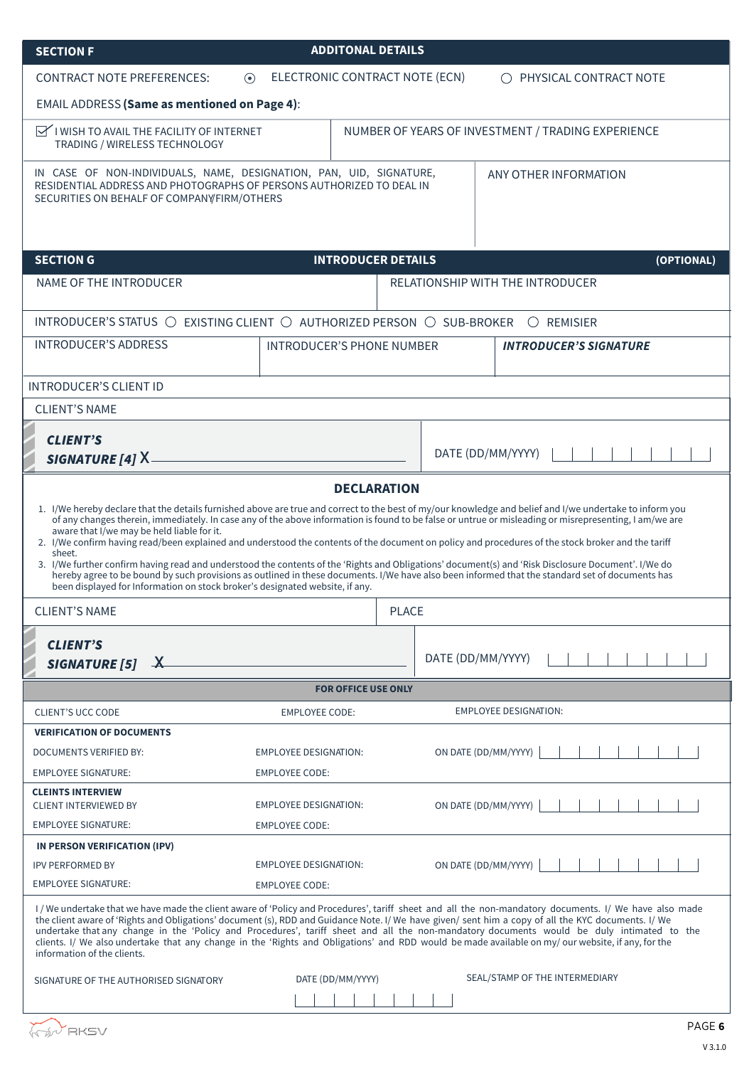| <b>SECTION F</b>                                                                                                                                                                                                                                                                                                                                                                                                                                  | <b>ADDITONAL DETAILS</b>                                           |                           |                                                                                                                                                                                                                                                                                                                                                                                                                                                                       |
|---------------------------------------------------------------------------------------------------------------------------------------------------------------------------------------------------------------------------------------------------------------------------------------------------------------------------------------------------------------------------------------------------------------------------------------------------|--------------------------------------------------------------------|---------------------------|-----------------------------------------------------------------------------------------------------------------------------------------------------------------------------------------------------------------------------------------------------------------------------------------------------------------------------------------------------------------------------------------------------------------------------------------------------------------------|
| <b>CONTRACT NOTE PREFERENCES:</b>                                                                                                                                                                                                                                                                                                                                                                                                                 | ELECTRONIC CONTRACT NOTE (ECN)<br>$\odot$                          |                           | O PHYSICAL CONTRACT NOTE                                                                                                                                                                                                                                                                                                                                                                                                                                              |
| <b>EMAIL ADDRESS (Same as mentioned on Page 4):</b>                                                                                                                                                                                                                                                                                                                                                                                               |                                                                    |                           |                                                                                                                                                                                                                                                                                                                                                                                                                                                                       |
| $\mathbb{R}$ I WISH TO AVAIL THE FACILITY OF INTERNET<br>TRADING / WIRELESS TECHNOLOGY                                                                                                                                                                                                                                                                                                                                                            |                                                                    |                           | NUMBER OF YEARS OF INVESTMENT / TRADING EXPERIENCE                                                                                                                                                                                                                                                                                                                                                                                                                    |
| IN CASE OF NON-INDIVIDUALS, NAME, DESIGNATION, PAN, UID, SIGNATURE,<br>RESIDENTIAL ADDRESS AND PHOTOGRAPHS OF PERSONS AUTHORIZED TO DEAL IN<br>SECURITIES ON BEHALF OF COMPANY FIRM/OTHERS                                                                                                                                                                                                                                                        |                                                                    |                           | ANY OTHER INFORMATION                                                                                                                                                                                                                                                                                                                                                                                                                                                 |
| <b>SECTION G</b>                                                                                                                                                                                                                                                                                                                                                                                                                                  |                                                                    | <b>INTRODUCER DETAILS</b> | (OPTIONAL)                                                                                                                                                                                                                                                                                                                                                                                                                                                            |
| <b>NAME OF THE INTRODUCER</b>                                                                                                                                                                                                                                                                                                                                                                                                                     |                                                                    |                           | <b>RELATIONSHIP WITH THE INTRODUCER</b>                                                                                                                                                                                                                                                                                                                                                                                                                               |
| INTRODUCER'S STATUS ○                                                                                                                                                                                                                                                                                                                                                                                                                             | EXISTING CLIENT $\bigcirc$ AUTHORIZED PERSON $\bigcirc$ SUB-BROKER |                           | $\bigcirc$ REMISIER                                                                                                                                                                                                                                                                                                                                                                                                                                                   |
| <b>INTRODUCER'S ADDRESS</b>                                                                                                                                                                                                                                                                                                                                                                                                                       | INTRODUCER'S PHONE NUMBER                                          |                           | <b>INTRODUCER'S SIGNATURE</b>                                                                                                                                                                                                                                                                                                                                                                                                                                         |
| <b>INTRODUCER'S CLIENT ID</b>                                                                                                                                                                                                                                                                                                                                                                                                                     |                                                                    |                           |                                                                                                                                                                                                                                                                                                                                                                                                                                                                       |
| <b>CLIENT'S NAME</b>                                                                                                                                                                                                                                                                                                                                                                                                                              |                                                                    |                           |                                                                                                                                                                                                                                                                                                                                                                                                                                                                       |
| <b>CLIENT'S</b><br><b>SIGNATURE [4] X.</b>                                                                                                                                                                                                                                                                                                                                                                                                        |                                                                    |                           | DATE (DD/MM/YYYY)                                                                                                                                                                                                                                                                                                                                                                                                                                                     |
|                                                                                                                                                                                                                                                                                                                                                                                                                                                   |                                                                    | <b>DECLARATION</b>        |                                                                                                                                                                                                                                                                                                                                                                                                                                                                       |
| aware that I/we may be held liable for it.<br>2. I/We confirm having read/been explained and understood the contents of the document on policy and procedures of the stock broker and the tariff<br>sheet.<br>3. I/We further confirm having read and understood the contents of the 'Rights and Obligations' document(s) and 'Risk Disclosure Document'. I/We do<br>been displayed for Information on stock broker's designated website, if any. |                                                                    |                           | 1. I/We hereby declare that the details furnished above are true and correct to the best of my/our knowledge and belief and I/we undertake to inform you<br>of any changes therein, immediately. In case any of the above information is found to be false or untrue or misleading or misrepresenting, I am/we are<br>hereby agree to be bound by such provisions as outlined in these documents. I/We have also been informed that the standard set of documents has |
| <b>CLIENT'S NAME</b>                                                                                                                                                                                                                                                                                                                                                                                                                              |                                                                    | <b>PLACE</b>              |                                                                                                                                                                                                                                                                                                                                                                                                                                                                       |
| <b>CLIENT'S</b><br><b>SIGNATURE [5]</b><br>$\mathbf{X}$                                                                                                                                                                                                                                                                                                                                                                                           |                                                                    |                           | DATE (DD/MM/YYYY)                                                                                                                                                                                                                                                                                                                                                                                                                                                     |
|                                                                                                                                                                                                                                                                                                                                                                                                                                                   | <b>FOR OFFICE USE ONLY</b>                                         |                           |                                                                                                                                                                                                                                                                                                                                                                                                                                                                       |
| <b>CLIENT'S UCC CODE</b>                                                                                                                                                                                                                                                                                                                                                                                                                          | <b>EMPLOYEE CODE:</b>                                              |                           | <b>EMPLOYEE DESIGNATION:</b>                                                                                                                                                                                                                                                                                                                                                                                                                                          |
| <b>VERIFICATION OF DOCUMENTS</b>                                                                                                                                                                                                                                                                                                                                                                                                                  |                                                                    |                           |                                                                                                                                                                                                                                                                                                                                                                                                                                                                       |
| DOCUMENTS VERIFIED BY:                                                                                                                                                                                                                                                                                                                                                                                                                            | EMPLOYEE DESIGNATION:                                              |                           | ON DATE (DD/MM/YYYY)                                                                                                                                                                                                                                                                                                                                                                                                                                                  |
| <b>EMPLOYEE SIGNATURE:</b><br><b>CLEINTS INTERVIEW</b><br><b>CLIENT INTERVIEWED BY</b>                                                                                                                                                                                                                                                                                                                                                            | <b>EMPLOYEE CODE:</b><br>EMPLOYEE DESIGNATION:                     |                           | ON DATE (DD/MM/YYYY)                                                                                                                                                                                                                                                                                                                                                                                                                                                  |
| <b>EMPLOYEE SIGNATURE:</b>                                                                                                                                                                                                                                                                                                                                                                                                                        | <b>EMPLOYEE CODE:</b>                                              |                           |                                                                                                                                                                                                                                                                                                                                                                                                                                                                       |
| IN PERSON VERIFICATION (IPV)                                                                                                                                                                                                                                                                                                                                                                                                                      |                                                                    |                           |                                                                                                                                                                                                                                                                                                                                                                                                                                                                       |
| <b>IPV PERFORMED BY</b>                                                                                                                                                                                                                                                                                                                                                                                                                           | EMPLOYEE DESIGNATION:                                              |                           | ON DATE (DD/MM/YYYY)                                                                                                                                                                                                                                                                                                                                                                                                                                                  |
| <b>EMPLOYEE SIGNATURE:</b>                                                                                                                                                                                                                                                                                                                                                                                                                        | <b>EMPLOYEE CODE:</b>                                              |                           |                                                                                                                                                                                                                                                                                                                                                                                                                                                                       |
| the client aware of 'Rights and Obligations' document (s), RDD and Guidance Note. I/ We have given/ sent him a copy of all the KYC documents. I/ We<br>clients. I/ We also undertake that any change in the 'Rights and Obligations' and RDD would be made available on my/ our website, if any, for the<br>information of the clients.                                                                                                           |                                                                    |                           | I/We undertake that we have made the client aware of 'Policy and Procedures', tariff sheet and all the non-mandatory documents. I/We have also made<br>undertake that any change in the 'Policy and Procedures', tariff sheet and all the non-mandatory documents would be duly intimated to the                                                                                                                                                                      |
| SIGNATURE OF THE AUTHORISED SIGNATORY                                                                                                                                                                                                                                                                                                                                                                                                             | DATE (DD/MM/YYYY)                                                  |                           | SEAL/STAMP OF THE INTERMEDIARY                                                                                                                                                                                                                                                                                                                                                                                                                                        |
|                                                                                                                                                                                                                                                                                                                                                                                                                                                   |                                                                    |                           | PAGE 6                                                                                                                                                                                                                                                                                                                                                                                                                                                                |
|                                                                                                                                                                                                                                                                                                                                                                                                                                                   |                                                                    |                           |                                                                                                                                                                                                                                                                                                                                                                                                                                                                       |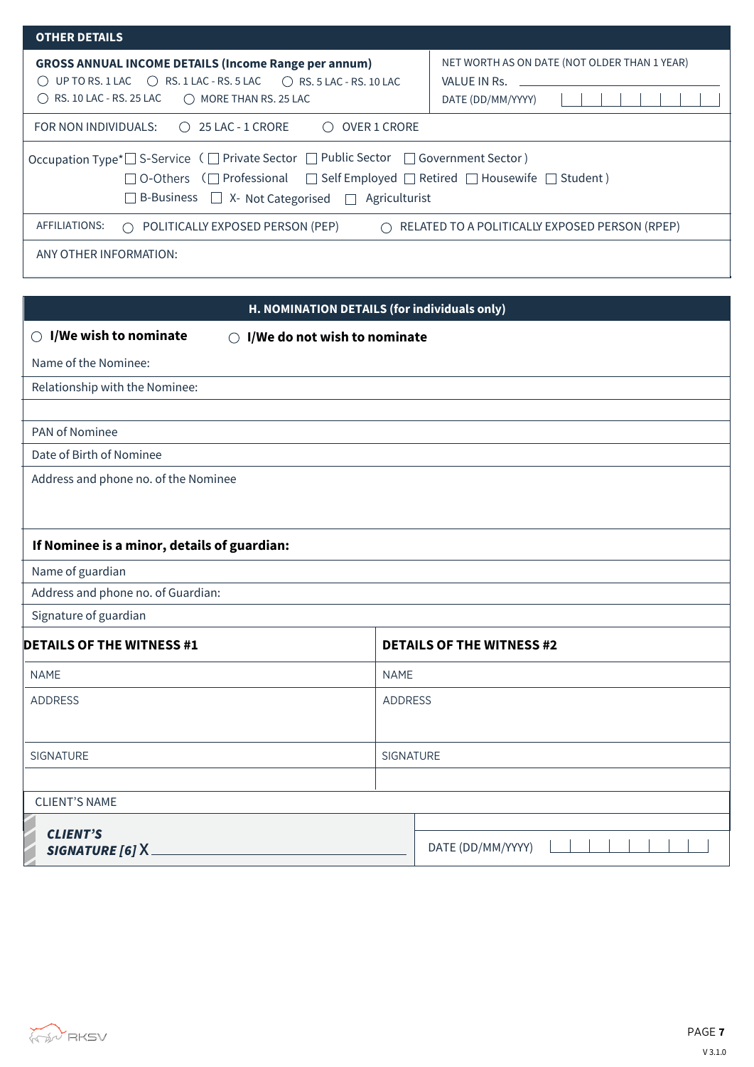| <b>OTHER DETAILS</b>                                                                                                                                                                                                                                                 |                                                                                   |
|----------------------------------------------------------------------------------------------------------------------------------------------------------------------------------------------------------------------------------------------------------------------|-----------------------------------------------------------------------------------|
| <b>GROSS ANNUAL INCOME DETAILS (Income Range per annum)</b><br>UP TO RS. 1 LAC $\bigcirc$ RS. 1 LAC - RS. 5 LAC $\bigcirc$ RS. 5 LAC - RS. 10 LAC<br>( )<br>RS. 10 LAC - RS. 25 LAC  O MORE THAN RS. 25 LAC<br>( )                                                   | NET WORTH AS ON DATE (NOT OLDER THAN 1 YEAR)<br>VALUE IN Rs.<br>DATE (DD/MM/YYYY) |
| FOR NON INDIVIDUALS: $\bigcirc$ 25 LAC - 1 CRORE<br><b>OVER 1 CRORE</b><br>( )                                                                                                                                                                                       |                                                                                   |
| Occupation Type*□ S-Service (□ Private Sector □ Public Sector □ Government Sector)<br>$\Box$ O-Others ( $\Box$ Professional $\Box$ Self Employed $\Box$ Retired $\Box$ Housewife $\Box$ Student)<br>$\Box$ B-Business $\Box$ X- Not Categorised $\Box$ Agriculturist |                                                                                   |
| AFFILIATIONS:<br>$\bigcirc$ POLITICALLY EXPOSED PERSON (PEP)<br>$\bigcap$                                                                                                                                                                                            | RELATED TO A POLITICALLY EXPOSED PERSON (RPEP)                                    |
| ANY OTHER INFORMATION:                                                                                                                                                                                                                                               |                                                                                   |

| H. NOMINATION DETAILS (for individuals only)                                   |                |                                  |
|--------------------------------------------------------------------------------|----------------|----------------------------------|
| $\bigcirc$ I/We wish to nominate<br>I/We do not wish to nominate<br>$\bigcirc$ |                |                                  |
| Name of the Nominee:                                                           |                |                                  |
| Relationship with the Nominee:                                                 |                |                                  |
|                                                                                |                |                                  |
| PAN of Nominee                                                                 |                |                                  |
| Date of Birth of Nominee                                                       |                |                                  |
| Address and phone no. of the Nominee                                           |                |                                  |
|                                                                                |                |                                  |
| If Nominee is a minor, details of guardian:                                    |                |                                  |
| Name of guardian                                                               |                |                                  |
| Address and phone no. of Guardian:                                             |                |                                  |
| Signature of guardian                                                          |                |                                  |
| <b>DETAILS OF THE WITNESS #1</b>                                               |                | <b>DETAILS OF THE WITNESS #2</b> |
| <b>NAME</b><br><b>NAME</b>                                                     |                |                                  |
| <b>ADDRESS</b>                                                                 | <b>ADDRESS</b> |                                  |
|                                                                                |                |                                  |
| SIGNATURE                                                                      | SIGNATURE      |                                  |
|                                                                                |                |                                  |
| <b>CLIENT'S NAME</b>                                                           |                |                                  |
| <b>CLIENT'S</b>                                                                |                |                                  |
| SIGNATURE [6] X.                                                               |                | DATE (DD/MM/YYYY)                |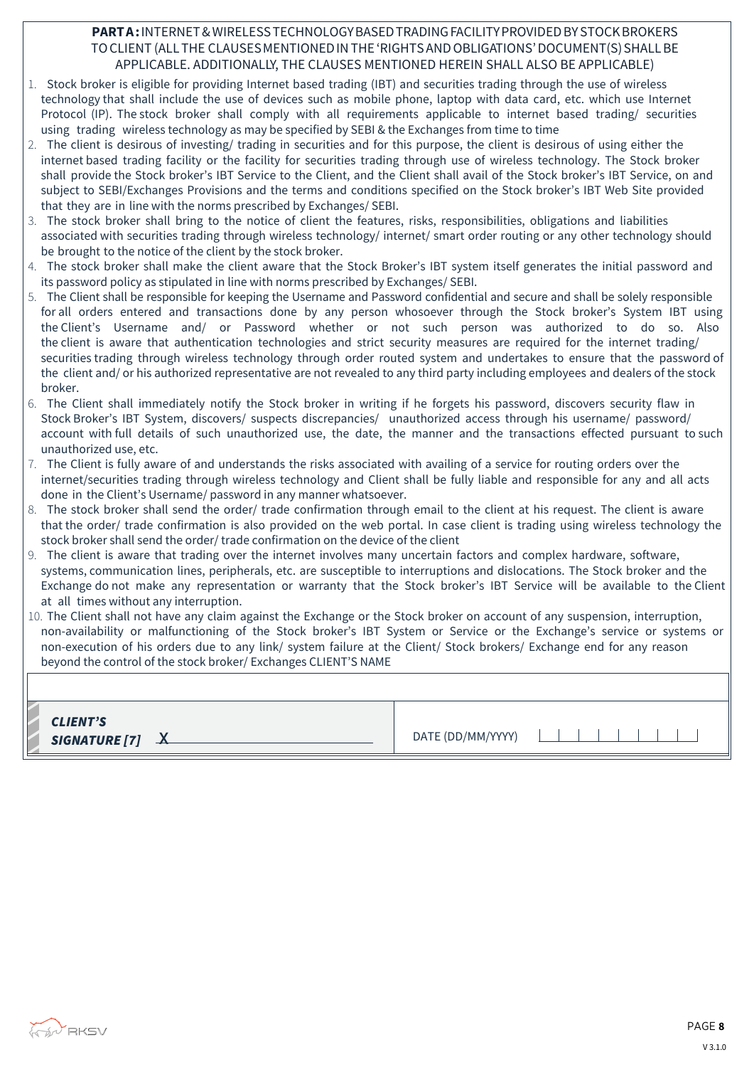## **PART A :** INTERNET & WIRELESS TECHNOLOGY BASED TRADING FACILITY PROVIDED BY STOCK BROKERS TO CLIENT (ALL THE CLAUSES MENTIONED IN THE 'RIGHTS AND OBLIGATIONS' DOCUMENT(S) SHALL BE APPLICABLE. ADDITIONALLY, THE CLAUSES MENTIONED HEREIN SHALL ALSO BE APPLICABLE)

- 1. Stock broker is eligible for providing Internet based trading (IBT) and securities trading through the use of wireless technology that shall include the use of devices such as mobile phone, laptop with data card, etc. which use Internet Protocol (IP). The stock broker shall comply with all requirements applicable to internet based trading/ securities using trading wireless technology as may be specified by SEBI & the Exchanges from time to time
- 2. The client is desirous of investing/ trading in securities and for this purpose, the client is desirous of using either the internet based trading facility or the facility for securities trading through use of wireless technology. The Stock broker shall provide the Stock broker's IBT Service to the Client, and the Client shall avail of the Stock broker's IBT Service, on and subject to SEBI/Exchanges Provisions and the terms and conditions specified on the Stock broker's IBT Web Site provided that they are in line with the norms prescribed by Exchanges/ SEBI.
- 3. The stock broker shall bring to the notice of client the features, risks, responsibilities, obligations and liabilities associated with securities trading through wireless technology/ internet/ smart order routing or any other technology should be brought to the notice of the client by the stock broker.
- 4. The stock broker shall make the client aware that the Stock Broker's IBT system itself generates the initial password and its password policy as stipulated in line with norms prescribed by Exchanges/ SEBI.
- 5. The Client shall be responsible for keeping the Username and Password confidential and secure and shall be solely responsible for all orders entered and transactions done by any person whosoever through the Stock broker's System IBT using the Client's Username and/ or Password whether or not such person was authorized to do so. Also the client is aware that authentication technologies and strict security measures are required for the internet trading/ securities trading through wireless technology through order routed system and undertakes to ensure that the password of the client and/ or his authorized representative are not revealed to any third party including employees and dealers of the stock broker.
- 6. The Client shall immediately notify the Stock broker in writing if he forgets his password, discovers security flaw in Stock Broker's IBT System, discovers/ suspects discrepancies/ unauthorized access through his username/ password/ account with full details of such unauthorized use, the date, the manner and the transactions effected pursuant to such unauthorized use, etc.
- 7. The Client is fully aware of and understands the risks associated with availing of a service for routing orders over the internet/securities trading through wireless technology and Client shall be fully liable and responsible for any and all acts done in the Client's Username/ password in any manner whatsoever.
- 8. The stock broker shall send the order/ trade confirmation through email to the client at his request. The client is aware that the order/ trade confirmation is also provided on the web portal. In case client is trading using wireless technology the stock broker shall send the order/ trade confirmation on the device of the client
- 9. The client is aware that trading over the internet involves many uncertain factors and complex hardware, software, systems, communication lines, peripherals, etc. are susceptible to interruptions and dislocations. The Stock broker and the Exchange do not make any representation or warranty that the Stock broker's IBT Service will be available to the Client at all times without any interruption.
- 10. The Client shall not have any claim against the Exchange or the Stock broker on account of any suspension, interruption, non-availability or malfunctioning of the Stock broker's IBT System or Service or the Exchange's service or systems or non-execution of his orders due to any link/ system failure at the Client/ Stock brokers/ Exchange end for any reason beyond the control of the stock broker/ Exchanges CLIENT'S NAME

| <b>CLIENT'S</b><br>DATE (DD/MM/YYYY)<br>SIGNATURE $[7]$ $\lambda$ |
|-------------------------------------------------------------------|
|-------------------------------------------------------------------|

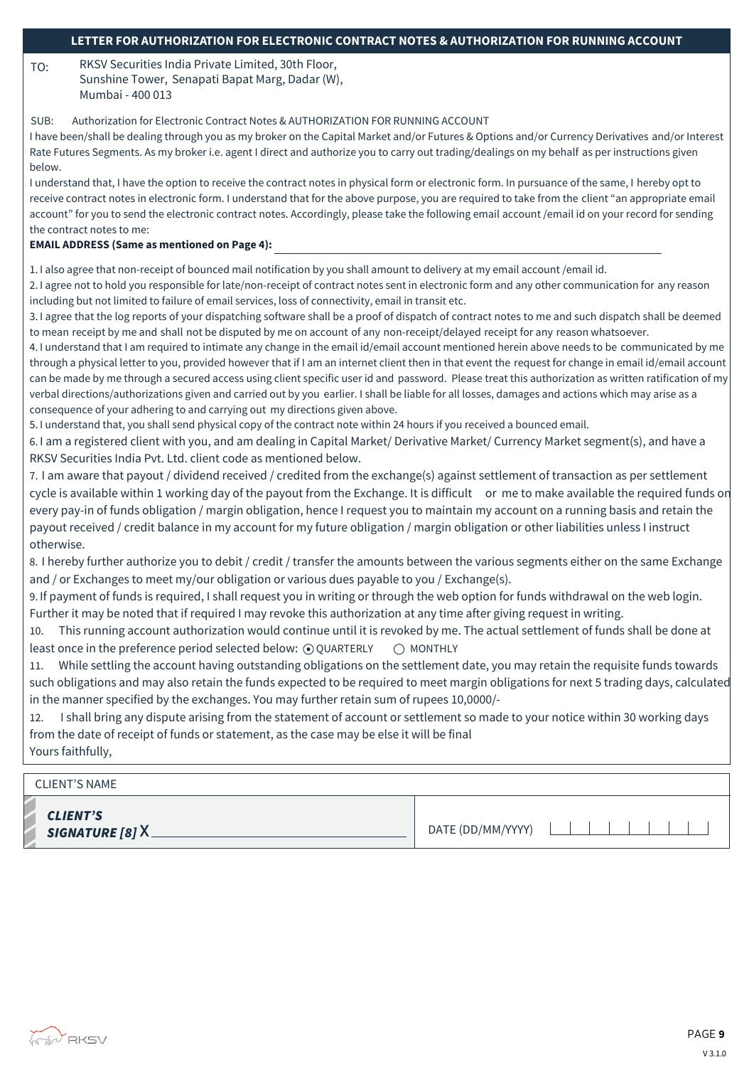## **LETTER FOR AUTHORIZATION FOR ELECTRONIC CONTRACT NOTES & AUTHORIZATION FOR RUNNING ACCOUNT**

TO: RKSV Securities India Private Limited, 30th Floor, Sunshine Tower, Senapati Bapat Marg, Dadar (W), Mumbai - 400 013

SUB: Authorization for Electronic Contract Notes & AUTHORIZATION FOR RUNNING ACCOUNT

I have been/shall be dealing through you as my broker on the Capital Market and/or Futures & Options and/or Currency Derivatives and/or Interest Rate Futures Segments. As my broker i.e. agent I direct and authorize you to carry out trading/dealings on my behalf as per instructions given below.

I understand that, I have the option to receive the contract notes in physical form or electronic form. In pursuance of the same, I hereby opt to receive contract notes in electronic form. I understand that for the above purpose, you are required to take from the client "an appropriate email account" for you to send the electronic contract notes. Accordingly, please take the following email account /email id on your record for sending the contract notes to me:

#### **EMAIL ADDRESS (Same as mentioned on Page 4):**

1. I also agree that non-receipt of bounced mail notification by you shall amount to delivery at my email account /email id.

2. I agree not to hold you responsible for late/non-receipt of contract notes sent in electronic form and any other communication for any reason including but not limited to failure of email services, loss of connectivity, email in transit etc.

3. I agree that the log reports of your dispatching software shall be a proof of dispatch of contract notes to me and such dispatch shall be deemed to mean receipt by me and shall not be disputed by me on account of any non-receipt/delayed receipt for any reason whatsoever.

4. I understand that I am required to intimate any change in the email id/email account mentioned herein above needs to be communicated by me through a physical letter to you, provided however that if I am an internet client then in that event the request for change in email id/email account can be made by me through a secured access using client specific user id and password. Please treat this authorization as written ratification of my verbal directions/authorizations given and carried out by you earlier. I shall be liable for all losses, damages and actions which may arise as a consequence of your adhering to and carrying out my directions given above.

5. I understand that, you shall send physical copy of the contract note within 24 hours if you received a bounced email.

6. I am a registered client with you, and am dealing in Capital Market/ Derivative Market/ Currency Market segment(s), and have a RKSV Securities India Pvt. Ltd. client code as mentioned below.

7. I am aware that payout / dividend received / credited from the exchange(s) against settlement of transaction as per settlement cycle is available within 1 working day of the payout from the Exchange. It is difficult or me to make available the required funds on every pay-in of funds obligation / margin obligation, hence I request you to maintain my account on a running basis and retain the payout received / credit balance in my account for my future obligation / margin obligation or other liabilities unless I instruct otherwise.

8. I hereby further authorize you to debit / credit / transfer the amounts between the various segments either on the same Exchange and / or Exchanges to meet my/our obligation or various dues payable to you / Exchange(s).

9. If payment of funds is required, I shall request you in writing or through the web option for funds withdrawal on the web login. Further it may be noted that if required I may revoke this authorization at any time after giving request in writing.

10. This running account authorization would continue until it is revoked by me. The actual settlement of funds shall be done at least once in the preference period selected below:  $\odot$  QUARTERLY  $\odot$  MONTHLY

11. While settling the account having outstanding obligations on the settlement date, you may retain the requisite funds towards such obligations and may also retain the funds expected to be required to meet margin obligations for next 5 trading days, calculated in the manner specified by the exchanges. You may further retain sum of rupees 10,0000/-

12. I shall bring any dispute arising from the statement of account or settlement so made to your notice within 30 working days from the date of receipt of funds or statement, as the case may be else it will be final Yours faithfully,

### CLIENT'S NAME

CLIENT'S SIGNATURE [8] X

DATE (DD/MM/YYYY) | | | | |

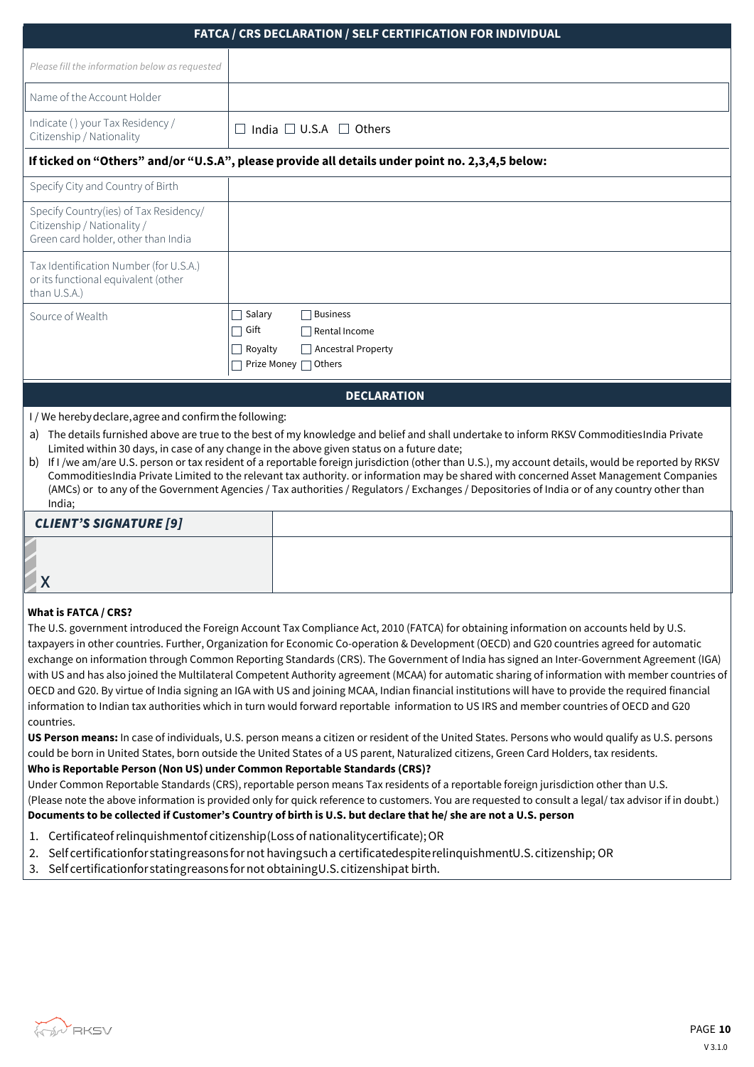## **FATCA / CRS DECLARATION / SELF CERTIFICATION FOR INDIVIDUAL**

|                                                                                                              | FAICA / CRS DECLARATION / SELF CERTIFICATION FOR INDIVIDUAL                                                   |
|--------------------------------------------------------------------------------------------------------------|---------------------------------------------------------------------------------------------------------------|
| Please fill the information below as requested                                                               |                                                                                                               |
| Name of the Account Holder                                                                                   |                                                                                                               |
| Indicate () your Tax Residency /<br>Citizenship / Nationality                                                | India $\Box$ U.S.A $\Box$ Others                                                                              |
|                                                                                                              | If ticked on "Others" and/or "U.S.A", please provide all details under point no. 2,3,4,5 below:               |
| Specify City and Country of Birth                                                                            |                                                                                                               |
| Specify Country(ies) of Tax Residency/<br>Citizenship / Nationality /<br>Green card holder, other than India |                                                                                                               |
| Tax Identification Number (for U.S.A.)<br>or its functional equivalent (other<br>than U.S.A.)                |                                                                                                               |
| Source of Wealth                                                                                             | Salary<br><b>Business</b><br>П<br>$\Box$ Gift<br>Rental Income<br><b>Ancestral Property</b><br>$\Box$ Royalty |
|                                                                                                              | Prize Money □ Others                                                                                          |

#### **DECLARATION**

I / We hereby declare, agree and confirm the following:

- a) The details furnished above are true to the best of my knowledge and belief and shall undertake to inform RKSV Commodities India Private Limited within 30 days, in case of any change in the above given status on a future date;
- b) If I /we am/are U.S. person or tax resident of a reportable foreign jurisdiction (other than U.S.), my account details, would be reported by RKSV Commodities India Private Limited to the relevant tax authority. or information may be shared with concerned Asset Management Companies (AMCs) or to any of the Government Agencies / Tax authorities / Regulators / Exchanges / Depositories of India or of any country other than India;

## CLIENT'S SIGNATURE [9]

| <b>ALIENT A AIAINTI AVE [A]</b> |  |  |
|---------------------------------|--|--|
|                                 |  |  |
|                                 |  |  |

#### **What is FATCA / CRS?**

The U.S. government introduced the Foreign Account Tax Compliance Act, 2010 (FATCA) for obtaining information on accounts held by U.S. taxpayers in other countries. Further, Organization for Economic Co-operation & Development (OECD) and G20 countries agreed for automatic exchange on information through Common Reporting Standards (CRS). The Government of India has signed an Inter-Government Agreement (IGA) with US and has also joined the Multilateral Competent Authority agreement (MCAA) for automatic sharing of information with member countries of OECD and G20. By virtue of India signing an IGA with US and joining MCAA, Indian financial institutions will have to provide the required financial information to Indian tax authorities which in turn would forward reportable information to US IRS and member countries of OECD and G20 countries.

**US Person means:** In case of individuals, U.S. person means a citizen or resident of the United States. Persons who would qualify as U.S. persons could be born in United States, born outside the United States of a US parent, Naturalized citizens, Green Card Holders, tax residents. **Who is Reportable Person (Non US) under Common Reportable Standards (CRS)?** 

Under Common Reportable Standards (CRS), reportable person means Tax residents of a reportable foreign jurisdiction other than U.S. (Please note the above information is provided only for quick reference to customers. You are requested to consult a legal/ tax advisor if in doubt.) **Documents to be collected if Customer's Country of birth is U.S. but declare that he/ she are not a U.S. person** 

- 1. Certificate of relinquishment of citizenship (Loss of nationality certificate); OR
- 2. Self certification for stating reasons for not having such a certificated espite relinquishment U.S. citizenship; OR
- 3. Self certification for stating reasons for not obtaining U.S. citizenship at birth.

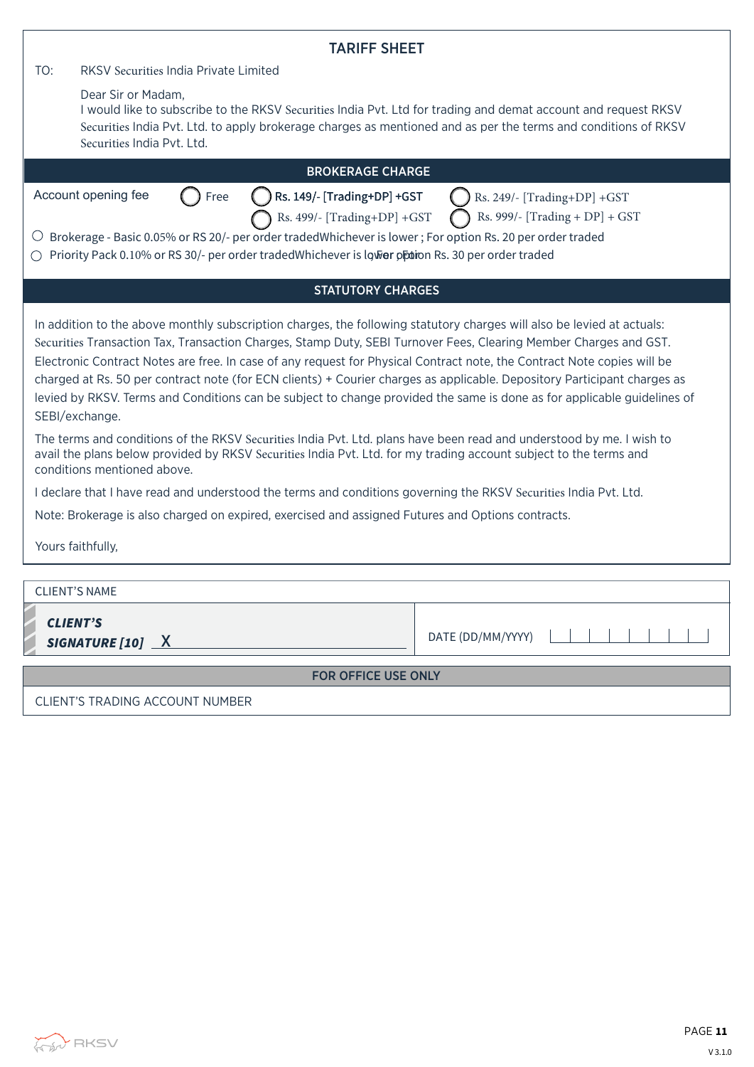| <b>TARIFF SHEET</b>                                                                                                                                                                                                                                                                                                                                                                                                                                                                                                                                                                                                                                                                                                                                                                                                                                                                                                         |  |
|-----------------------------------------------------------------------------------------------------------------------------------------------------------------------------------------------------------------------------------------------------------------------------------------------------------------------------------------------------------------------------------------------------------------------------------------------------------------------------------------------------------------------------------------------------------------------------------------------------------------------------------------------------------------------------------------------------------------------------------------------------------------------------------------------------------------------------------------------------------------------------------------------------------------------------|--|
| TO:<br>RKSV Securities India Private Limited                                                                                                                                                                                                                                                                                                                                                                                                                                                                                                                                                                                                                                                                                                                                                                                                                                                                                |  |
| Dear Sir or Madam,<br>I would like to subscribe to the RKSV Securities India Pvt. Ltd for trading and demat account and request RKSV<br>Securities India Pvt. Ltd. to apply brokerage charges as mentioned and as per the terms and conditions of RKSV<br>Securities India Pvt. Ltd.                                                                                                                                                                                                                                                                                                                                                                                                                                                                                                                                                                                                                                        |  |
| <b>BROKERAGE CHARGE</b>                                                                                                                                                                                                                                                                                                                                                                                                                                                                                                                                                                                                                                                                                                                                                                                                                                                                                                     |  |
| Account opening fee<br>Free<br>Rs. 149/- [Trading+DP] +GST<br>Rs. 249/- [Trading+DP] +GST<br>Rs. 999/- [Trading + DP] + GST<br>Rs. 499/- [Trading+DP] +GST<br>$\circlearrowright$ Brokerage - Basic 0.05% or RS 20/- per order tradedWhichever is lower; For option Rs. 20 per order traded<br>Priority Pack 0.10% or RS 30/- per order traded Whichever is lower of this 30 per order traded                                                                                                                                                                                                                                                                                                                                                                                                                                                                                                                               |  |
| <b>STATUTORY CHARGES</b>                                                                                                                                                                                                                                                                                                                                                                                                                                                                                                                                                                                                                                                                                                                                                                                                                                                                                                    |  |
| In addition to the above monthly subscription charges, the following statutory charges will also be levied at actuals:<br>Securities Transaction Tax, Transaction Charges, Stamp Duty, SEBI Turnover Fees, Clearing Member Charges and GST.<br>Electronic Contract Notes are free. In case of any request for Physical Contract note, the Contract Note copies will be<br>charged at Rs. 50 per contract note (for ECN clients) + Courier charges as applicable. Depository Participant charges as<br>levied by RKSV. Terms and Conditions can be subject to change provided the same is done as for applicable guidelines of<br>SEBI/exchange.<br>The terms and conditions of the RKSV Securities India Pvt. Ltd. plans have been read and understood by me. I wish to<br>avail the plans below provided by RKSV Securities India Pvt. Ltd. for my trading account subject to the terms and<br>conditions mentioned above. |  |
| I declare that I have read and understood the terms and conditions governing the RKSV Securities India Pvt. Ltd.                                                                                                                                                                                                                                                                                                                                                                                                                                                                                                                                                                                                                                                                                                                                                                                                            |  |
| Note: Brokerage is also charged on expired, exercised and assigned Futures and Options contracts.<br>Yours faithfully,                                                                                                                                                                                                                                                                                                                                                                                                                                                                                                                                                                                                                                                                                                                                                                                                      |  |
|                                                                                                                                                                                                                                                                                                                                                                                                                                                                                                                                                                                                                                                                                                                                                                                                                                                                                                                             |  |
| <b>CLIENT'S NAME</b>                                                                                                                                                                                                                                                                                                                                                                                                                                                                                                                                                                                                                                                                                                                                                                                                                                                                                                        |  |
| <b>CLIENT'S</b><br>DATE (DD/MM/YYYY)<br>SIGNATURE [10] X                                                                                                                                                                                                                                                                                                                                                                                                                                                                                                                                                                                                                                                                                                                                                                                                                                                                    |  |
| FOR OFFICE USE ONLY                                                                                                                                                                                                                                                                                                                                                                                                                                                                                                                                                                                                                                                                                                                                                                                                                                                                                                         |  |

CLIENT'S TRADING ACCOUNT NUMBER